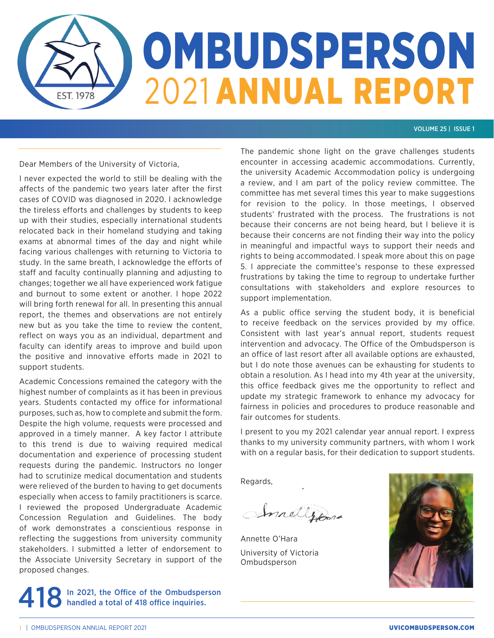

## VOLUME 25 | ISSUE 1

Dear Members of the University of Victoria,

I never expected the world to still be dealing with the affects of the pandemic two years later after the first cases of COVID was diagnosed in 2020. I acknowledge the tireless efforts and challenges by students to keep up with their studies, especially international students relocated back in their homeland studying and taking exams at abnormal times of the day and night while facing various challenges with returning to Victoria to study. In the same breath, I acknowledge the efforts of staff and faculty continually planning and adjusting to changes; together we all have experienced work fatigue and burnout to some extent or another. I hope 2022 will bring forth renewal for all. In presenting this annual report, the themes and observations are not entirely new but as you take the time to review the content, reflect on ways you as an individual, department and faculty can identify areas to improve and build upon the positive and innovative efforts made in 2021 to support students.

Academic Concessions remained the category with the highest number of complaints as it has been in previous years. Students contacted my office for informational purposes, such as, how to complete and submit the form. Despite the high volume, requests were processed and approved in a timely manner. A key factor I attribute to this trend is due to waiving required medical documentation and experience of processing student requests during the pandemic. Instructors no longer had to scrutinize medical documentation and students were relieved of the burden to having to get documents especially when access to family practitioners is scarce. I reviewed the proposed Undergraduate Academic Concession Regulation and Guidelines. The body of work demonstrates a conscientious response in reflecting the suggestions from university community stakeholders. I submitted a letter of endorsement to the Associate University Secretary in support of the proposed changes.

In 2021, the Office of the Ombudsperson<br> **O** handled a total of 418 office inquiries.

The pandemic shone light on the grave challenges students encounter in accessing academic accommodations. Currently, the university Academic Accommodation policy is undergoing a review, and I am part of the policy review committee. The committee has met several times this year to make suggestions for revision to the policy. In those meetings, I observed students' frustrated with the process. The frustrations is not because their concerns are not being heard, but I believe it is because their concerns are not finding their way into the policy in meaningful and impactful ways to support their needs and rights to being accommodated. I speak more about this on page 5. I appreciate the committee's response to these expressed frustrations by taking the time to regroup to undertake further consultations with stakeholders and explore resources to support implementation.

As a public office serving the student body, it is beneficial to receive feedback on the services provided by my office. Consistent with last year's annual report, students request intervention and advocacy. The Office of the Ombudsperson is an office of last resort after all available options are exhausted, but I do note those avenues can be exhausting for students to obtain a resolution. As I head into my 4th year at the university, this office feedback gives me the opportunity to reflect and update my strategic framework to enhance my advocacy for fairness in policies and procedures to produce reasonable and fair outcomes for students.

I present to you my 2021 calendar year annual report. I express thanks to my university community partners, with whom I work with on a regular basis, for their dedication to support students.

Regards,

InnellyBord

Annette O'Hara University of Victoria Ombudsperson

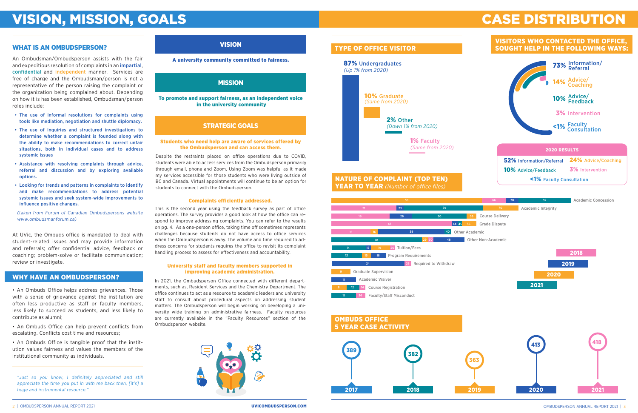# VISION, MISSION, GOALS

# WHAT IS AN OMBUDSPERSON? WHAT IS AN OMBUDSPERSON?

### Complaints efficiently addressed.

Despite the restraints placed on office operations due to COVID, students were able to access services from the Ombudsperson primarily through email, phone and Zoom. Using Zoom was helpful as it made my services accessible for those students who were living outside of BC and Canada. Virtual appointments will continue to be an option for students to connect with the Ombudsperson.

An Ombudsman/Ombudsperson assists with the fair and expeditious resolution of complaints in an *impartial*, confidential and independent manner. Services are free of charge and the Ombudsman/person is not a representative of the person raising the complaint or the organization being complained about. Depending on how it is has been established, Ombudsman/person roles include:

- The use of informal resolutions for complaints using tools like mediation, negotiation and shuttle diplomacy.
- The use of Inquiries and structured investigations to determine whether a complaint is founded along with the ability to make recommendations to correct unfair situations, both in individual cases and to address systemic issues
- Assistance with resolving complaints through advice, referral and discussion and by exploring available options.
- Looking for trends and patterns in complaints to identify and make recommendations to address potential systemic issues and seek system-wide improvements to influence positive changes.

(taken from Forum of Canadian Ombudspersons website www.ombudsmanforum.ca)

At UVic, the Ombuds office is mandated to deal with student-related issues and may provide information and referrals; offer confidential advice, feedback or coaching; problem-solve or facilitate communication; review or investigate.

• An Ombuds Office helps address grievances. Those with a sense of grievance against the institution are often less productive as staff or faculty members, less likely to succeed as students, and less likely to contribute as alumni;

• An Ombuds Office can help prevent conflicts from escalating. Conflicts cost time and resources;

• An Ombuds Office is tangible proof that the institution values fairness and values the members of the institutional community as individuals.

# CASE DISTRIBUTION

# TYPE OF OFFICE VISITOR

# VISITORS WHO CONTACTED THE OFFICE, SOUGHT HELP IN THE FOLLOWING WAYS:

This is the second year using the feedback survey as part of office operations. The survey provides a good look at how the office can respond to improve addressing complaints. You can refer to the results on pg. 4. As a one-person office, taking time off sometimes represents challenges because students do not have access to office services when the Ombudsperson is away. The volume and time required to address concerns for students requires the office to revisit its complaint handling process to assess for effectiveness and accountability.

### University staff and faculty members supported in improving academic administration.

In 2021, the Ombudsperson Office connected with different departments, such as, Resident Services and the Chemistry Department. The office continues to act as a resource to academic leaders and university staff to consult about procedural aspects on addressing student matters. The Ombudsperson will begin working on developing a university wide training on administrative fairness. Faculty resources are currently available in the "Faculty Resources" section of the Ombudsperson website.







### A university community committed to fairness.

# MISSION

To promote and support fairness, as an independent voice in the university community

# STRATEGIC GOALS

### Students who need help are aware of services offered by the Ombudsperson and can access them.

# WHY HAVE AN OMBUDSPERSON?

"Just so you know, I definitely appreciated and still appreciate the time you put in with me back then, [it's] a huge and instrumental resource."

# YEAR TO YEAR *(Number of office files)*

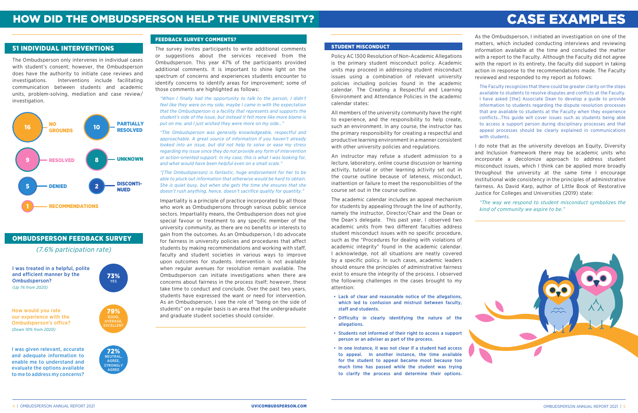# CASE EXAMPLES

As the Ombudsperson, I initiated an investigation on one of the matters, which included conducting interviews and reviewing information available at the time and concluded the matter with a report to the Faculty. Although the Faculty did not agree with the report in its entirety, the faculty did support in taking action in response to the recommendations made. The Faculty reviewed and responded to my report as follows:

The Faculty recognizes that there could be greater clarity on the steps available to students to resolve disputes and conflicts at the Faculty. I have asked [the] Associate Dean to develop a guide to provide information to students regarding the dispute resolution processes that are available to students at the Faculty when they experience conflicts…This guide will cover issues such as students being able to access a support person during disciplinary processes and that appeal processes should be clearly explained in communications with students.

I do note that as the university develops an Equity, Diversity and Inclusion framework there may be academic units who incorporate a decolonize approach to address student misconduct issues, which I think can be applied more broadly throughout the university at the same time I encourage institutional wide consistency in the principles of administrative fairness. As David Karp, author of Little Book of Restorative Justice for Colleges and Universities (2019) state:

*"The way we respond to student misconduct symbolizes the kind of community we aspire to be."*



## STUDENT MISCONDUCT

Policy AC 1300 Resolution of Non-Academic Allegations is the primary student misconduct policy. Academic units may proceed in addressing student misconduct issues using a combination of relevant university policies including policies found in the academic calendar. The Creating a Respectful and Learning Environment and Attendance Policies in the academic calendar states:

All members of the university community have the right to experience, and the responsibility to help create, such an environment. In any course, the instructor has the primary responsibility for creating a respectful and productive learning environment in a manner consistent with other university policies and regulations.

An instructor may refuse a student admission to a lecture, laboratory, online course discussion or learning activity, tutorial or other learning activity set out in the course outline because of lateness, misconduct, inattention or failure to meet the responsibilities of the course set out in the course outline.

The academic calendar includes an appeal mechanism for students by appealing through the line of authority, namely the instructor, Director/Chair and the Dean or the Dean's delegate. This past year, I observed two academic units from two different faculties address student misconduct issues with no specific procedure, such as the "Procedures for dealing with violations of academic integrity" found in the academic calendar. I acknowledge, not all situations are neatly covered by a specific policy. In such cases, academic leaders should ensure the principles of administrative fairness exist to ensure the integrity of the process. I observed the following challenges in the cases brought to my attention:

- Lack of clear and reasonable notice of the allegations, which led to confusion and mistrust between faculty, staff and students.
- Difficulty in clearly identifying the nature of the allegations.
- Students not informed of their right to access a support person or an adviser as part of the process.
- In one instance, it was not clear if a student had access to appeal. In another instance, the time available for the student to appeal became moot because too much time has passed while the student was trying to clarify the process and determine their options.

# 51 INDIVIDUAL INTERVENTIONS

The Ombudsperson only intervenes in individual cases with student's consent; however, the Ombudsperson does have the authority to initiate case reviews and investigations. Interventions include facilitating communication between students and academic units, problem-solving, mediation and case review/ investigation.

# OMBUDSPERSON FEEDBACK SURVEY

I was treated in a helpful, polite and efficient manner by the Ombudsperson? *(Up 1% from 2020)*

73% YES

How would you rate our experience with the Ombudsperson's office? *(Down 10% from 2020)*



I was given relevant, accurate and adequate information to enable me to understand and evaluate the options available to me to address my concerns?

72% NEUTRAL, AGREE, **STRONGLY** AGREE

## FEEDBACK SURVEY COMMENTS?

The survey invites participants to write additional comments or suggestions about the services received from the Ombudsperson. This year 47% of the participants provided additional comments. It is important to shine light on the spectrum of concerns and experiences students encounter to identify concerns to identify areas for improvement; some of those comments are highlighted as follows:

*"When I finally had the opportunity to talk to the person, I didn't feel like they were on my side, maybe I came in with the expectation that the Ombudsperson is a facility that represents and supports the student's side of the issue, but instead it felt more like more blame is put on me, and I just wished they were more on my side…"*

*"The Ombudsperson was generally knowledgeable, respectful and approachable. A great source of information if you haven't already looked into an issue, but did not help to solve or ease my stress regarding my issue since they do not provide any form of intervention or action-oriented support. In my case, this is what I was looking for, and what would have been helpful even on a small scale."*



*"[The Ombudsperson} is fantastic, huge endorsement for her to be able to pluck out information that otherwise would be hard to obtain. She is quiet busy, but when she gets the time she ensures that she doesn't rush anything, hence, doesn't sacrifice quality for quantity."*

Impartiality is a principle of practice incorporated by all those who work as Ombudspersons through various public service sectors. Impartiality means, the Ombudsperson does not give special favour or treatment to any specific member of the university community, as there are no benefits or interests to gain from the outcomes. As an Ombudsperson, I do advocate for fairness in university policies and procedures that affect students by making recommendations and working with staff, faculty and student societies in various ways to improve upon outcomes for students. Intervention is not available when regular avenues for resolution remain available. The Ombudsperson can initiate investigations when there are concerns about fairness in the process itself; however, these take time to conduct and conclude. Over the past two years, students have expressed the want or need for intervention. As an Ombudsperson, I see the role of "being on the side of students" on a regular basis is an area that the undergraduate and graduate student societies should consider.

*(7.6% participation rate)*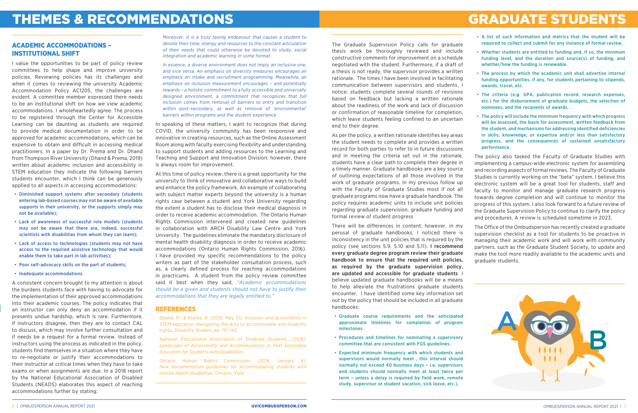The Graduate Supervision Policy calls for graduate thesis work be thoroughly reviewed and include constructive comments for improvement on a schedule negotiated with the student. Furthermore, if a draft of a thesis is not ready, the supervisor provides a written rationale. The times I have been involved in facilitating communication between supervisors and students, I notice: students complete several rounds of revisions based on feedback but lacking a written rationale about the readiness of the work and lack of discussion or confirmation of reasonable timeline for completion, which leave students feeling confined to an uncertain end to their degree.

As per the policy, a written rationale identifies key areas the student needs to complete and provides a written record for both parties to refer to in future discussions and in meeting the criteria set out in the rationale, students have a clear path to complete their degree in a timely manner. Graduate handbooks are a key source of outlining expectations of all those involved in the work of graduate programs. In my previous follow up with the Faculty of Graduate Studies most if not all graduate programs now have a graduate handbook. The policy requires academic units to include unit policies regarding graduate supervision, graduate funding and formal review of student progress

There will be differences in content; however, in my perusal of graduate handbooks, I noticed there is inconsistency in the unit policies that is required by the policy (see sections 5.9, 5.10 and 5.11). I recommend every graduate degree program review their graduate handbook to ensure that the required unit policies, as required by the graduate supervision policy, are updated and accessible for graduate students. I believe updated graduate handbooks will be a means to help alleviate the frustrations graduate students encounter. I have identified some key information set out by the policy that should be included in all graduate handbooks:

- Graduate course requirements and the anticipated approximate timelines for completion of program milestones.
- Procedures and timelines for nominating a supervisory committee that are consistent with FGS guidelines.
- Expected minimum frequency with which students and supervisors would normally meet , this interval should normally not exceed 40 business days – i.e. supervisors and students should normally meet at least twice per term – unless a delay is required by field work, remote study, supervisor or student vacation, sick leave, etc.).

# THEMES & RECOMMENDATIONS EXAMPLE STUDENTS

# ACADEMIC ACCOMMODATIONS – INSTITUTIONAL SHIFT

Moreover, it is a truly taxing endeavour that causes a student to devote their time, energy and resources to the constant articulation of their needs that could otherwise be devoted to study, social integration and academic learning in some format.

In essence, a diverse environment does not imply an inclusive one, and vice versa. An emphasis on diversity measures encourages an emphasis on intake and recruitment programming. Meanwhile, an emphasis on inclusion measurement encourages – and potentially rewards – a holistic commitment to a fully accessible and universally designed environment, a commitment that recognizes that full inclusion comes from removal of barriers to entry and transition within post-secondary, as well as removal of 'environmental' barriers within programs and the student experience

In speaking of these matters, I want to recognize that during COVID, the university community has been responsive and innovative in creating resources, such as the Online Assessment Room along with faculty exercising flexibility and understanding to support students and adding resources to the Learning and Teaching and Support and Innovation Division; however, there is always room for improvement.

At this time of policy review, there is a great opportunity for the university to think of innovative and collaborative ways to build and enhance the policy framework. An example of collaborating with subject matter experts beyond the university is a human rights case between a student and York University regarding the extent a student has to disclose their medical diagnosis in order to receive academic accommodation. The Ontario Human Rights Commission intervened and created new guidelines in collaboration with ARCH Disability Law Centre and York University. The guidelines eliminate the mandatory disclosure of mental health disability diagnosis in order to receive academic accommodations (Ontario Human Rights Commission, 2016). I have provided my specific recommendations to the policy writers as part of the stakeholder consultation process, such as, a clearly defined process for reaching accommodations in practicums. A student from the policy review committee said it best when they said, *"Academic accommodations should be a given and students should not have to justify their accommodations that they are legally entitled to."*

I value the opportunities to be part of policy review committees to help shape and improve university policies. Reviewing policies has its challenges and when it comes to reviewing the university Academic Accommodation Policy AC1205, the challenges are evident. A committee member expressed there needs to be an institutional shift on how we view academic accommodations. I wholeheartedly agree. The process to be registered through the Center for Accessible Learning can be daunting as students are required to provide medical documentation in order to be approved for academic accommodations, which can be expensive to obtain and difficult in accessing medical practitioners. In a paper by Dr. Prema and Dr. Dhand from Thompson River University (Dhand & Prema, 2019) written about academic inclusion and accessibility in STEM education they indicate the following barriers students encounter, which I think can be generously applied to all aspects in accessing accommodations:

- Diminished support systems after secondary (students entering lab-based courses may not be aware of available supports in their university, or the supports simply may not be available);
- Lack of awareness of successful role models (students may not be aware that there are, indeed, successful scientists with disabilities from whom they can learn);
- Lack of access to technologies (students may not have access to the required assistive technology that would enable them to take part in lab activities);
- Poor self-advocacy skills on the part of students;
- Inadequate accommodations.

A consistent concern brought to my attention is about the burdens students face with having to advocate for the implementation of their approved accommodations into their academic courses. The policy indicates that an instructor can only deny an accommodation if it presents undue hardship, which is rare. Furthermore, if instructors disagree, then they are to contact CAL to discuss, which may involve further consultation and if needs be a request for a formal review. Instead of instructors using the process as indicated in the policy, students find themselves in a situation where they have to re-negotiate or justify their accommodations to their instructor at critical times when they have to take exams or when assignments are due. In a 2018 report by the National Educational Association of Disabled Students (NEADS) elaborates this aspect of reaching accommodations further by stating:

- A list of such information and metrics that the student will be required to collect and submit for any instance of formal review.
- Whether students are entitled to funding and, if so, the minimum funding level, and the duration and source(s) of funding, and whether/how the funding is renewable.
- The process by which the academic unit shall advertise internal funding opportunities, if any, for students pertaining to stipends, awards, travel, etc.
- The criteria (e.g. GPA, publication record, research expenses, etc.) for the disbursement of graduate budgets, the selection of nominees, and the recipients of awards.
- The policy will include the minimum frequency with which progress will be assessed, the basis for assessment, written feedback from the student, and mechanisms for addressing identified deficiencies in skills, knowledge, or expertise and/or less than satisfactory progress, and the consequences of sustained unsatisfactory performance.

The policy also tasked the Faculty of Graduate Studies with implementing a campus-wide electronic system for assembling and recording aspects of formal reviews. The Faculty of Graduate Studies is currently working on the "beta" system. I believe this electronic system will be a great tool for students, staff and faculty to monitor and manage graduate research progress towards degree completion and will continue to monitor the progress of this system. I also look forward to a future review of the Graduate Supervision Policy to continue to clarify the policy and procedures. A review is scheduled sometime in 2023.

The Office of the Ombudsperson has recently created a graduate supervision checklist as a tool for students to be proactive in managing their academic work and will work with community partners, such as the Graduate Student Society, to update and make the tool more readily available to the academic units and graduate students.



### REFERENCES

Dhand, R., & Prema, D. (2019, May 31). Inclusion and accessibility in STEM education: Navigating the duty to accommodate and disability rights. *Disability Studies*, pp. 121-142.

National Educational Association of Disabled Students. (2018). *Landscape of Accessibility and Accommodation in Post-Secondary Education for Students with Disabilities*.

Ontario Human Rights Commission. (2016, January 6). *New documentation guidelines for accommodating students with mental health disabilities*. Ontario, York.